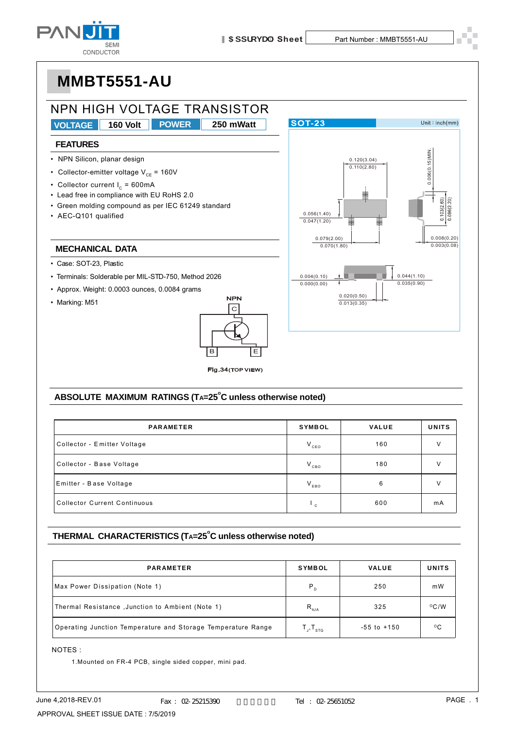



#### ABSOLUTE MAXIMUM RATINGS (TA=25<sup>°</sup>C unless otherwise noted)

| <b>PARAMETER</b>                    | SYMBOL       | <b>VALUE</b> | <b>UNITS</b> |
|-------------------------------------|--------------|--------------|--------------|
| Collector - Emitter Voltage         | $V_{ceo}$    | 160          | $\vee$       |
| Collector - Base Voltage            | $V_{CBO}$    | 180          | v            |
| Emitter - Base Voltage              | $V_{EBO}$    | 6            |              |
| <b>Collector Current Continuous</b> | $\mathbf{c}$ | 600          | mA           |

#### THERMAL CHARACTERISTICS (TA=25<sup>°</sup>C unless otherwise noted)

| <b>PARAMETER</b>                                             | <b>SYMBOL</b>                   | <b>VALUE</b>    | <b>UNITS</b>   |
|--------------------------------------------------------------|---------------------------------|-----------------|----------------|
| Max Power Dissipation (Note 1)                               | $P_{D}$                         | 250             | mW             |
| Thermal Resistance, Junction to Ambient (Note 1)             | $R_{\theta JA}$                 | 325             | $^{\circ}$ C/W |
| Operating Junction Temperature and Storage Temperature Range | $T_{\rm J}$ , $T_{\rm s\tau G}$ | $-55$ to $+150$ | $^{\circ}$ C   |

#### NOTES :

1.Mounted on FR-4 PCB, single sided copper, mini pad.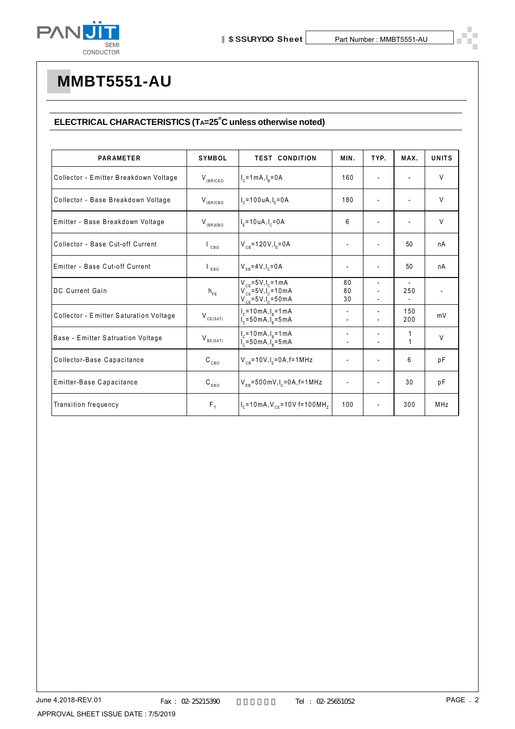

#### $ELECTRICAL CHARACTERISTICS (Ta=25<sup>°</sup>C unless otherwise noted)$

| <b>PARAMETER</b>                       | <b>SYMBOL</b>             | <b>TEST CONDITION</b>                                                                  | MIN.                     | TYP.                     | MAX.         | <b>UNITS</b> |
|----------------------------------------|---------------------------|----------------------------------------------------------------------------------------|--------------------------|--------------------------|--------------|--------------|
| Collector - Emitter Breakdown Voltage  | $V_{(BR)CEO}$             | $I_c = 1$ mA, $I_R = 0$ A                                                              | 160                      |                          |              | $\vee$       |
| Collector - Base Breakdown Voltage     | $V_{(BR)CBO}$             | $I_c = 100 uA, I_F = 0A$                                                               | 180                      |                          |              | V            |
| Emitter - Base Breakdown Voltage       | $V_{(BR)EBO}$             | $I_F = 10 uA, I_C = 0A$                                                                | 6                        | $\overline{a}$           |              | V            |
| Collector - Base Cut-off Current       | CBO                       | $V_{CB} = 120V, I_E = 0A$                                                              | $\overline{\phantom{a}}$ |                          | 50           | nA           |
| Emitter - Base Cut-off Current         | EBO                       | $V_{FB} = 4V I_c = 0A$                                                                 | $\overline{\phantom{a}}$ | $\overline{\phantom{0}}$ | 50           | nA           |
| DC Current Gain                        | $h_{FE}$                  | $V_{CF} = 5V, I_C = 1 mA$<br>$V_{CF} = 5V I_{C} = 10mA$<br>$V_{CF} = 5V I_{C} = 50mA$  | 80<br>80<br>30           |                          | 250          |              |
| Collector - Emitter Saturation Voltage | $V_{CE(SAT)}$             | $I_c = 10 \text{ mA}, I_p = 1 \text{ mA}$<br>$I_c = 50 \text{ mA}, I_p = 5 \text{ mA}$ | $\overline{\phantom{a}}$ | $\overline{\phantom{0}}$ | 150<br>200   | mV           |
| Base - Emitter Satruation Voltage      | $V_{BE(SAT)}$             | $I_c = 10 \text{ mA}, I_p = 1 \text{ mA}$<br>$I_c = 50 \text{ mA}, I_B = 5 \text{ mA}$ | $\overline{\phantom{a}}$ |                          | $\mathbf{1}$ | $\vee$       |
| Collector-Base Capacitance             | $\mathtt{C_{_{CBO}}}$     | $V_{CB} = 10V, I_F = 0A, f = 1MHz$                                                     | $\overline{\phantom{a}}$ | $\overline{a}$           | 6            | pF           |
| Emitter-Base Capacitance               | $\texttt{C}_\texttt{EBO}$ | $V_{FB} = 500$ mV, $I_c = 0$ A, f = 1 MHz                                              | $\overline{\phantom{a}}$ | $\overline{\phantom{0}}$ | 30           | pF           |
| Transition frequency                   | $F_{T}$                   | $I_c$ =10 mA, $V_{cF}$ =10 V f=100 MH <sub>7</sub>                                     | 100                      | $\overline{\phantom{0}}$ | 300          | MHz          |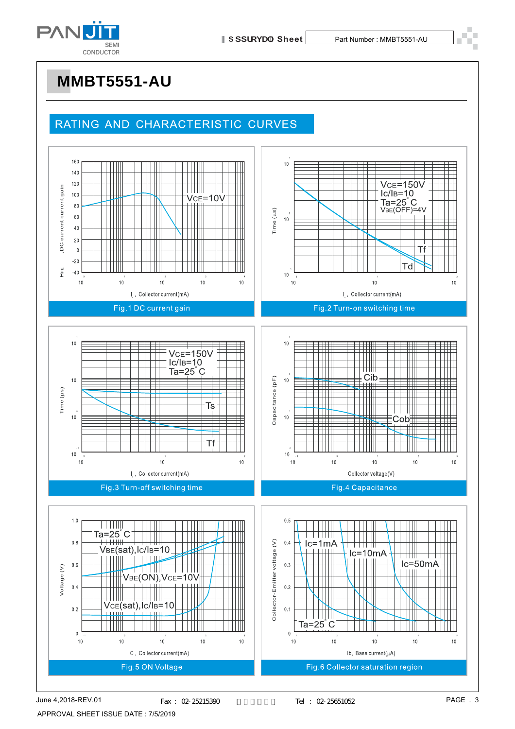

### RATING AND CHARACTERISTIC CURVES

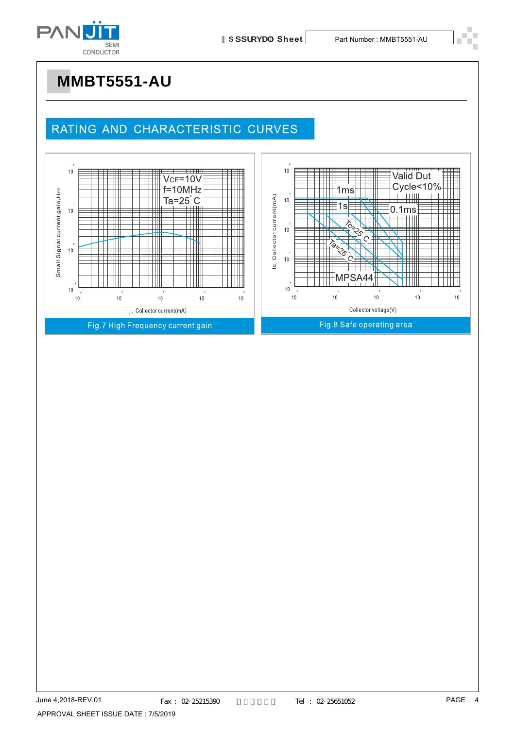

### RATING AND CHARACTERISTIC CURVES

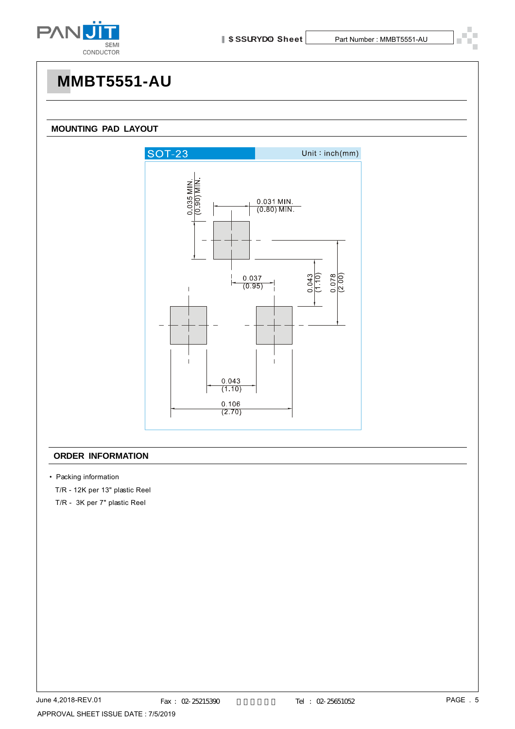

#### **MOUNTING PAD LAYOUT**



#### **ORDER INFORMATION**

• Packing information

T/R - 12K per 13" plastic Reel

T/R - 3K per 7" plastic Reel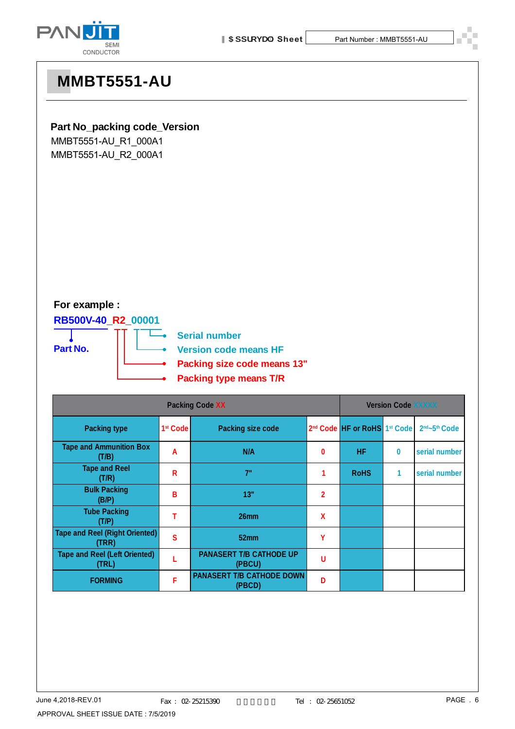



#### **Part No\_packing code\_Version**

MMBT5551-AU\_R1\_000A1 MMBT5551-AU\_R2\_000A1

### **For example :**

**RB500V-40\_R2\_00001**

**Part No.**

**Serial number**

**Version code means HF**

- **Packing size code means 13"**
- **Packing type means T/R**

| <b>Packing Code XX</b>                         |                      |                                            | <b>Version Code XXXXX</b> |                                                      |   |                                       |
|------------------------------------------------|----------------------|--------------------------------------------|---------------------------|------------------------------------------------------|---|---------------------------------------|
| <b>Packing type</b>                            | 1 <sup>st</sup> Code | <b>Packing size code</b>                   |                           | 2 <sup>nd</sup> Code HF or RoHS 1 <sup>st</sup> Code |   | 2 <sup>nd</sup> ~5 <sup>th</sup> Code |
| <b>Tape and Ammunition Box</b><br>(T/B)        | A                    | N/A                                        | 0                         | <b>HF</b>                                            | 0 | serial number                         |
| <b>Tape and Reel</b><br>(T/R)                  | R                    | 7"                                         |                           | <b>RoHS</b>                                          | 1 | serial number                         |
| <b>Bulk Packing</b><br>(B/P)                   | в                    | 13"                                        | $\overline{2}$            |                                                      |   |                                       |
| <b>Tube Packing</b><br>(T/P)                   |                      | 26 <sub>mm</sub>                           | X                         |                                                      |   |                                       |
| <b>Tape and Reel (Right Oriented)</b><br>(TRR) | S                    | 52 <sub>mm</sub>                           | γ                         |                                                      |   |                                       |
| <b>Tape and Reel (Left Oriented)</b><br>(TRL)  |                      | <b>PANASERT T/B CATHODE UP</b><br>(PBCU)   | U                         |                                                      |   |                                       |
| <b>FORMING</b>                                 | F                    | <b>PANASERT T/B CATHODE DOWN</b><br>(PBCD) | D                         |                                                      |   |                                       |